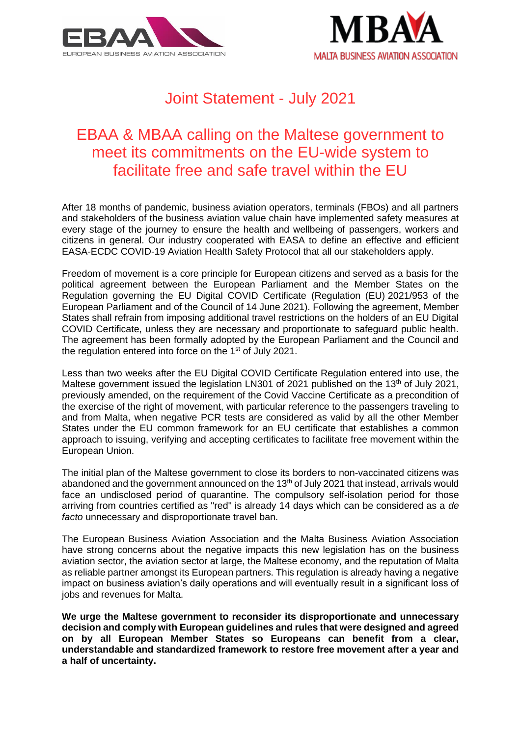



# Joint Statement - July 2021

## EBAA & MBAA calling on the Maltese government to meet its commitments on the EU-wide system to facilitate free and safe travel within the EU

After 18 months of pandemic, business aviation operators, terminals (FBOs) and all partners and stakeholders of the business aviation value chain have implemented safety measures at every stage of the journey to ensure the health and wellbeing of passengers, workers and citizens in general. Our industry cooperated with EASA to define an effective and efficient EASA-ECDC COVID-19 Aviation Health Safety Protocol that all our stakeholders apply.

Freedom of movement is a core principle for European citizens and served as a basis for the political agreement between the European Parliament and the Member States on the Regulation governing the EU Digital COVID Certificate (Regulation (EU) 2021/953 of the European Parliament and of the Council of 14 June 2021). Following the agreement, Member States shall refrain from imposing additional travel restrictions on the holders of an EU Digital COVID Certificate, unless they are necessary and proportionate to safeguard public health. The agreement has been formally adopted by the European Parliament and the Council and the regulation entered into force on the 1<sup>st</sup> of July 2021.

Less than two weeks after the EU Digital COVID Certificate Regulation entered into use, the Maltese government issued the legislation LN301 of 2021 published on the 13<sup>th</sup> of July 2021, previously amended, on the requirement of the Covid Vaccine Certificate as a precondition of the exercise of the right of movement, with particular reference to the passengers traveling to and from Malta, when negative PCR tests are considered as valid by all the other Member States under the EU common framework for an EU certificate that establishes a common approach to issuing, verifying and accepting certificates to facilitate free movement within the European Union.

The initial plan of the Maltese government to close its borders to non-vaccinated citizens was abandoned and the government announced on the 13<sup>th</sup> of July 2021 that instead, arrivals would face an undisclosed period of quarantine. The compulsory self-isolation period for those arriving from countries certified as "red" is already 14 days which can be considered as a *de facto* unnecessary and disproportionate travel ban.

The European Business Aviation Association and the Malta Business Aviation Association have strong concerns about the negative impacts this new legislation has on the business aviation sector, the aviation sector at large, the Maltese economy, and the reputation of Malta as reliable partner amongst its European partners. This regulation is already having a negative impact on business aviation's daily operations and will eventually result in a significant loss of jobs and revenues for Malta.

**We urge the Maltese government to reconsider its disproportionate and unnecessary decision and comply with European guidelines and rules that were designed and agreed on by all European Member States so Europeans can benefit from a clear, understandable and standardized framework to restore free movement after a year and a half of uncertainty.**